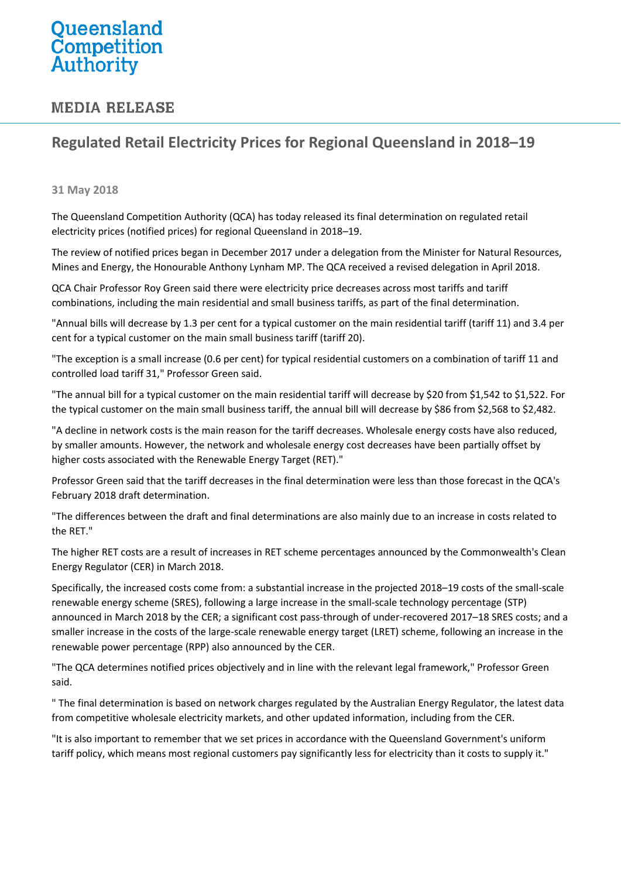## Queensland Competition Authority

## **MEDIA RELEASE**

## **Regulated Retail Electricity Prices for Regional Queensland in 2018–19**

## **31 May 2018**

The Queensland Competition Authority (QCA) has today released its final determination on regulated retail electricity prices (notified prices) for regional Queensland in 2018–19.

The review of notified prices began in December 2017 under a delegation from the Minister for Natural Resources, Mines and Energy, the Honourable Anthony Lynham MP. The QCA received a revised delegation in April 2018.

QCA Chair Professor Roy Green said there were electricity price decreases across most tariffs and tariff combinations, including the main residential and small business tariffs, as part of the final determination.

"Annual bills will decrease by 1.3 per cent for a typical customer on the main residential tariff (tariff 11) and 3.4 per cent for a typical customer on the main small business tariff (tariff 20).

"The exception is a small increase (0.6 per cent) for typical residential customers on a combination of tariff 11 and controlled load tariff 31," Professor Green said.

"The annual bill for a typical customer on the main residential tariff will decrease by \$20 from \$1,542 to \$1,522. For the typical customer on the main small business tariff, the annual bill will decrease by \$86 from \$2,568 to \$2,482.

"A decline in network costs is the main reason for the tariff decreases. Wholesale energy costs have also reduced, by smaller amounts. However, the network and wholesale energy cost decreases have been partially offset by higher costs associated with the Renewable Energy Target (RET)."

Professor Green said that the tariff decreases in the final determination were less than those forecast in the QCA's February 2018 draft determination.

"The differences between the draft and final determinations are also mainly due to an increase in costs related to the RET."

The higher RET costs are a result of increases in RET scheme percentages announced by the Commonwealth's Clean Energy Regulator (CER) in March 2018.

Specifically, the increased costs come from: a substantial increase in the projected 2018–19 costs of the small-scale renewable energy scheme (SRES), following a large increase in the small-scale technology percentage (STP) announced in March 2018 by the CER; a significant cost pass-through of under-recovered 2017–18 SRES costs; and a smaller increase in the costs of the large-scale renewable energy target (LRET) scheme, following an increase in the renewable power percentage (RPP) also announced by the CER.

"The QCA determines notified prices objectively and in line with the relevant legal framework," Professor Green said.

" The final determination is based on network charges regulated by the Australian Energy Regulator, the latest data from competitive wholesale electricity markets, and other updated information, including from the CER.

"It is also important to remember that we set prices in accordance with the Queensland Government's uniform tariff policy, which means most regional customers pay significantly less for electricity than it costs to supply it."